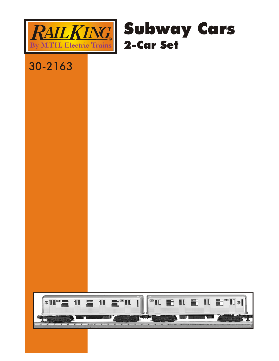



## 30-2163

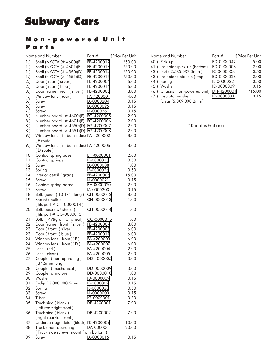## Subway Cars

## Non-powered Unit Parts

|         | <u>Name and Number</u>                                |            | Part # \$Price Per Unit |
|---------|-------------------------------------------------------|------------|-------------------------|
| 1.)     | Shell (NYCTA)(# 4600)(E)                              | FE-4200012 | *50.00                  |
| 1.)     | Shell (NYCTA)(# 4601)(E)                              | FE-4200013 | $*50.00$                |
| 1.)     | Shell (NYCTA)(# 4550)(D)                              | FE-4200014 | $*50.00$                |
| 1.)     | Shell (NYCTA)(# 4551)(D)                              | FE-4200015 | $*50.00$                |
| 2.)     | Door (rear) (silver)                                  | FE-4200004 | 6.00                    |
| 2.)     | Door (rear) (blue)                                    | FE-4200016 | 6.00                    |
| 3.)     | Door frame (rear) (silver)                            | FE-4200005 | 8.00                    |
| (4.)    | Window lens (rear)                                    | FA-4200001 | 4.00                    |
| 5.)     | Screw                                                 | IA-0000204 | 0.15                    |
| (6.)    | Screw                                                 | IA-0000025 | 0.15                    |
| 7.)     | Screw                                                 | IA-0000261 | 0.15                    |
| 8.)     | Number board (# 4600)(E)                              | FG-4200005 | 2.00                    |
|         | Number board (# 4601)(E)                              |            |                         |
| 8.)     |                                                       | FG-4200006 | 2.00                    |
| 8.)     | Number board (# 4550)(D)                              | FG-4200007 | 2.00                    |
| 8.)     | Number board (# 4551)(D) FG-4200008                   |            | 2.00                    |
| 9.)     | Window lens (fits both sides) FA-4200002<br>(E route) |            | 8.00                    |
| 9.)     | Window lens (fits both sides) FA-4200006              |            | 8.00                    |
|         | (D route)                                             |            |                         |
| $10.$ ) | Contact spring base                                   | BH-0000001 | 2.00                    |
| 11.)    | Contact springs                                       | IE-0000015 | 0.50                    |
| 12.     | Screw                                                 | IA-0000088 | 1.00                    |
| 13.)    | Spring                                                | IE-0000026 | 0.50                    |
| 14.     | Interior detail (gray)                                | FE-4200006 | 15.00                   |
| 15.     | Screw                                                 | IA-0000021 | 0.15                    |
| 16.     | Contact spring board                                  | BH-0000020 | 2.00                    |
| 17.)    | Screw                                                 | IA-0000203 | 0.15                    |
| 18.     | Bulb guide (10 1/4" long)                             | CH-0000012 | 8.00                    |
| 19.     | Socket (bulb)                                         | CH-0000013 | 1.00                    |
|         | (fits part # CH-0000014)                              |            |                         |
| 20.     | Bulb base (w/ shield)                                 | CH-0000014 | 1.00                    |
|         | (fits part # CG-0000015)                              |            |                         |
| 21.     | Bulb (14V)(grain of wheat)                            | CG-0000015 | 1.00                    |
| 22.     | Door frame (front) (silver)                           | FE-4200007 | 8.00                    |
| 23.     | Door (front) (silver)                                 | FE-4200008 | 6.00                    |
| 23.     | Door (front) (blue)                                   | FE-4200017 | 6.00                    |
| 24.)    | Window lens $($ front $)(E)$                          | FA-4200003 | 6.00                    |
| (24.)   | Window lens (front) (D)                               | FA-4200007 | 6.00                    |
| 25.     | Lens (red)                                            | FA-4200004 | 2.00                    |
| 26.     | Lens (clear)                                          | FA-4200005 | 2.00                    |
|         | 27.) Coupler (non-operating)                          | DD-4000005 | 3.00                    |
|         | (34.5mm long)                                         |            |                         |
| 28.)    | Coupler (mechanical)                                  | DD-0000009 | 3.00                    |
|         | 29.) Coupler armature                                 | DD-0000010 | 1.00                    |
|         | 30.) Washer                                           | ID-0000009 | 0.15                    |
|         | 31.) E-clip (3.0X8.0X0.5mm)                           | IF-0000002 | 0.15                    |
| 32.)    | Spring                                                | IE-0000030 | 0.50                    |
| 33.)    | Screw                                                 | IA-0000003 | 0.15                    |
|         | 34.) T-bar                                            | IG-0000001 | 0.50                    |
|         | 35.) Truck side (black)                               | DB-4200001 | 7.00                    |
|         | (left rear/right front)                               |            |                         |
| 36.)    | Truck side (black)                                    | DB-4200002 | 7.00                    |
|         | (right rear/left front)                               |            |                         |
|         | 37.) Undercarriage detail (black) FE-4200009          |            | 10.00                   |
|         | 38.) Truck (non-operating)                            | DA-0000001 | 20.00                   |
|         | (Truck side screws mount from bottom)                 |            |                         |
| 39.)    | Screw                                                 | IA-0000015 | 0.15                    |
|         |                                                       |            |                         |

| Name and Number                  | Part $#$   | \$Price Per Unit |
|----------------------------------|------------|------------------|
| 40.) Pick-up                     | BD-0000042 | 5.00             |
| 41.) Insulator (pick-up)(bottom) | BD-0000006 | 2.00             |
| 42.) Nut (2.5X5.0X7.0mm)         | IC-0000008 | 0.50             |
| 43.) Insulator (pick-up) (top)   | BD-0000026 | 2.00             |
| 44.) Spring                      | IE-0000022 | 0.50             |
| 45.) Washer                      | ID-0000009 | 0.15             |
| 46.) Chassis (non-powered unit)  | DH-4200001 | $*15.00$         |
| 47.) Insulator washer            | ID-0000031 | 0.15             |
| (clear)(5.0X9.0X0.2mm)           |            |                  |

\* **Requires Exchange**